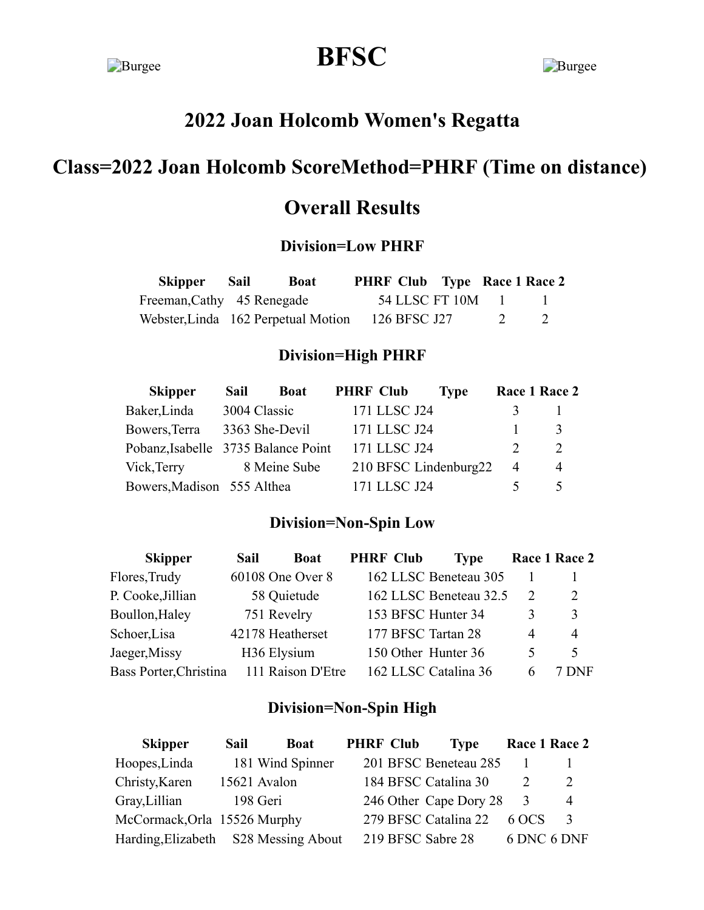# **Burgee BFSC** Burgee

# **2022 Joan Holcomb Women's Regatta**

# **Class=2022 Joan Holcomb ScoreMethod=PHRF (Time on distance)**

# **Overall Results**

## **Division=Low PHRF**

| Skipper Sail               | <b>Boat</b>                         |              | <b>PHRF Club</b> Type Race 1 Race 2 |          |  |
|----------------------------|-------------------------------------|--------------|-------------------------------------|----------|--|
| Freeman, Cathy 45 Renegade |                                     |              | 54 LLSC FT 10M 1                    |          |  |
|                            | Webster, Linda 162 Perpetual Motion | 126 BFSC J27 |                                     | $\sim$ 2 |  |

### **Division=High PHRF**

| <b>Skipper</b>                      | Sail         | <b>Boat</b>    | <b>PHRF Club</b>      | <b>Type</b> |   | Race 1 Race 2 |
|-------------------------------------|--------------|----------------|-----------------------|-------------|---|---------------|
| Baker, Linda                        | 3004 Classic |                | 171 LLSC J24          |             |   |               |
| Bowers, Terra                       |              | 3363 She-Devil | 171 LLSC J24          |             |   | $\mathcal{R}$ |
| Pobanz, Isabelle 3735 Balance Point |              |                | 171 LLSC J24          |             |   | $\mathcal{D}$ |
| Vick, Terry                         |              | 8 Meine Sube   | 210 BFSC Lindenburg22 |             | 4 | 4             |
| Bowers, Madison 555 Althea          |              |                | 171 LLSC J24          |             |   |               |

### **Division=Non-Spin Low**

| <b>Skipper</b>         | Sail | <b>Boat</b>             | <b>PHRF Club</b>    | <b>Type</b>            |   | Race 1 Race 2  |
|------------------------|------|-------------------------|---------------------|------------------------|---|----------------|
| Flores, Trudy          |      | 60108 One Over 8        |                     | 162 LLSC Beneteau 305  |   |                |
| P. Cooke, Jillian      |      | 58 Quietude             |                     | 162 LLSC Beneteau 32.5 |   | 2              |
| Boullon, Haley         |      | 751 Revelry             | 153 BFSC Hunter 34  |                        | 3 | 3              |
| Schoer, Lisa           |      | 42178 Heatherset        | 177 BFSC Tartan 28  |                        | 4 | $\overline{4}$ |
| Jaeger, Missy          |      | H <sub>36</sub> Elysium | 150 Other Hunter 36 |                        | ৲ | 5              |
| Bass Porter, Christina |      | 111 Raison D'Etre       |                     | 162 LLSC Catalina 36   |   | DNF            |

### **Division=Non-Spin High**

| <b>Skipper</b>                       | Sail | <b>Boat</b>      | <b>PHRF Club</b>  | <b>Type</b>            | Race 1 Race 2 |   |
|--------------------------------------|------|------------------|-------------------|------------------------|---------------|---|
| Hoopes, Linda                        |      | 181 Wind Spinner |                   | 201 BFSC Beneteau 285  |               |   |
| Christy, Karen                       |      | 15621 Avalon     |                   | 184 BFSC Catalina 30   |               |   |
| Gray, Lillian                        |      | 198 Geri         |                   | 246 Other Cape Dory 28 | 3             | 4 |
| McCormack, Orla 15526 Murphy         |      |                  |                   | 279 BFSC Catalina 22   | 6 OCS         |   |
| Harding, Elizabeth S28 Messing About |      |                  | 219 BFSC Sabre 28 |                        | 6 DNC 6 DNF   |   |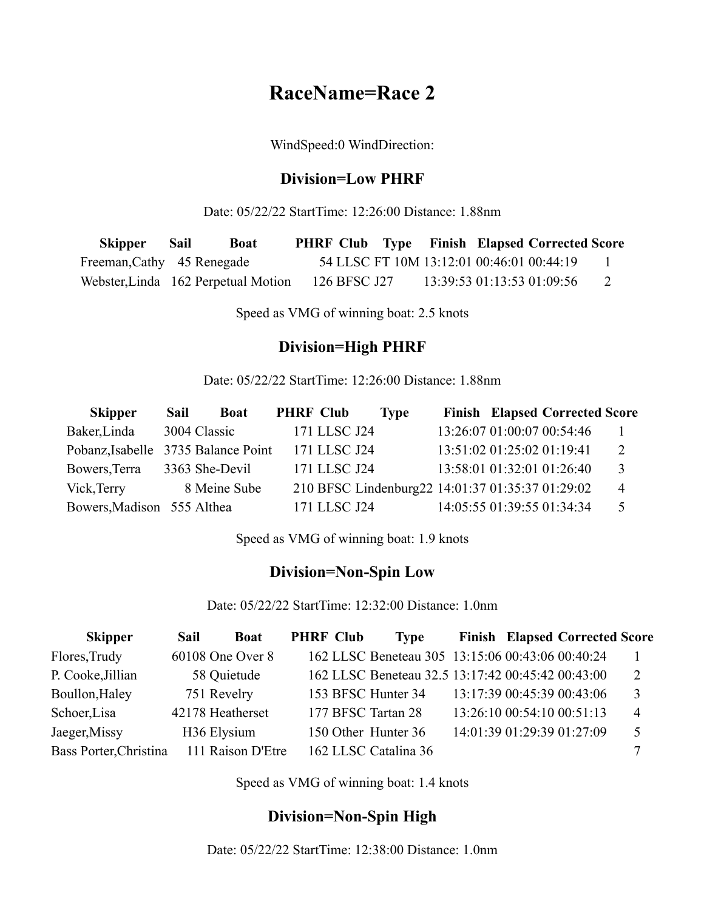# **RaceName=Race 2**

WindSpeed:0 WindDirection:

#### **Division=Low PHRF**

Date: 05/22/22 StartTime: 12:26:00 Distance: 1.88nm

| Skipper Sail               | <b>Boat</b>                         |              |  | <b>PHRF Club</b> Type Finish Elapsed Corrected Score |  |
|----------------------------|-------------------------------------|--------------|--|------------------------------------------------------|--|
| Freeman, Cathy 45 Renegade |                                     |              |  | 54 LLSC FT 10M 13:12:01 00:46:01 00:44:19            |  |
|                            | Webster, Linda 162 Perpetual Motion | 126 BFSC J27 |  | 13:39:53 01:13:53 01:09:56                           |  |

Speed as VMG of winning boat: 2.5 knots

#### **Division=High PHRF**

Date: 05/22/22 StartTime: 12:26:00 Distance: 1.88nm

| <b>Skipper</b>                      | Sail         | <b>Boat</b>    | <b>PHRF Club</b> |              | <b>Type</b>                                      |                            | <b>Finish Elapsed Corrected Score</b> |                |
|-------------------------------------|--------------|----------------|------------------|--------------|--------------------------------------------------|----------------------------|---------------------------------------|----------------|
| Baker, Linda                        | 3004 Classic |                |                  | 171 LLSC J24 |                                                  |                            | 13:26:07 01:00:07 00:54:46            |                |
| Pobanz, Isabelle 3735 Balance Point |              |                |                  | 171 LLSC J24 |                                                  | 13:51:02 01:25:02 01:19:41 |                                       | 2              |
| Bowers, Terra                       |              | 3363 She-Devil |                  | 171 LLSC J24 |                                                  |                            | 13:58:01 01:32:01 01:26:40            | 3              |
| Vick, Terry                         |              | 8 Meine Sube   |                  |              | 210 BFSC Lindenburg22 14:01:37 01:35:37 01:29:02 |                            |                                       | $\overline{4}$ |
| Bowers, Madison 555 Althea          |              |                |                  | 171 LLSC J24 |                                                  | 14:05:55 01:39:55 01:34:34 |                                       |                |

Speed as VMG of winning boat: 1.9 knots

#### **Division=Non-Spin Low**

Date: 05/22/22 StartTime: 12:32:00 Distance: 1.0nm

| <b>Skipper</b>         | Sail | <b>Boat</b>       | <b>PHRF Club</b> | <b>Type</b>                                       |                            | <b>Finish Elapsed Corrected Score</b> |   |
|------------------------|------|-------------------|------------------|---------------------------------------------------|----------------------------|---------------------------------------|---|
| Flores, Trudy          |      | 60108 One Over 8  |                  | 162 LLSC Beneteau 305 13:15:06 00:43:06 00:40:24  |                            |                                       |   |
| P. Cooke, Jillian      |      | 58 Quietude       |                  | 162 LLSC Beneteau 32.5 13:17:42 00:45:42 00:43:00 |                            |                                       |   |
| Boullon, Haley         |      | 751 Revelry       |                  | 153 BFSC Hunter 34                                |                            | 13:17:39 00:45:39 00:43:06            | 3 |
| Schoer, Lisa           |      | 42178 Heatherset  |                  | 177 BFSC Tartan 28                                | 13:26:10 00:54:10 00:51:13 |                                       | 4 |
| Jaeger, Missy          |      | H36 Elysium       |                  | 150 Other Hunter 36                               |                            | 14:01:39 01:29:39 01:27:09            | 5 |
| Bass Porter, Christina |      | 111 Raison D'Etre |                  | 162 LLSC Catalina 36                              |                            |                                       |   |

Speed as VMG of winning boat: 1.4 knots

#### **Division=Non-Spin High**

Date: 05/22/22 StartTime: 12:38:00 Distance: 1.0nm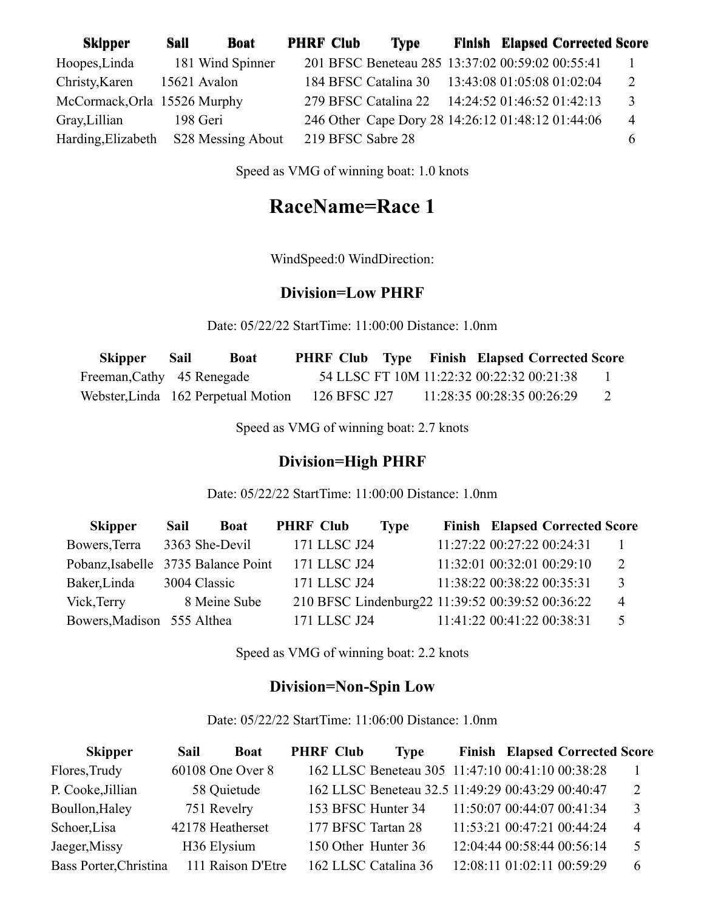| <b>Skipper</b>               | Sail         | <b>Boat</b>       | <b>PHRF Club</b> | <b>Type</b>                                       |  | <b>Finish Elapsed Corrected Score</b> |                |
|------------------------------|--------------|-------------------|------------------|---------------------------------------------------|--|---------------------------------------|----------------|
| Hoopes, Linda                |              | 181 Wind Spinner  |                  | 201 BFSC Beneteau 285 13:37:02 00:59:02 00:55:41  |  |                                       |                |
| Christy, Karen               | 15621 Avalon |                   |                  | 184 BFSC Catalina 30 13:43:08 01:05:08 01:02:04   |  |                                       |                |
| McCormack, Orla 15526 Murphy |              |                   |                  | 279 BFSC Catalina 22 14:24:52 01:46:52 01:42:13   |  |                                       | 3              |
| Gray, Lillian                | 198 Geri     |                   |                  | 246 Other Cape Dory 28 14:26:12 01:48:12 01:44:06 |  |                                       | $\overline{4}$ |
| Harding, Elizabeth           |              | S28 Messing About |                  | 219 BFSC Sabre 28                                 |  |                                       | b              |

Speed as VMG of winning boat: 1.0 knots

# **RaceName=Race 1**

WindSpeed:0 WindDirection:

#### **Division=Low PHRF**

Date: 05/22/22 StartTime: 11:00:00 Distance: 1.0nm

| Skipper                    | Sail | Boat                                |              |  | <b>PHRF Club</b> Type Finish Elapsed Corrected Score |  |
|----------------------------|------|-------------------------------------|--------------|--|------------------------------------------------------|--|
| Freeman, Cathy 45 Renegade |      |                                     |              |  | 54 LLSC FT 10M 11:22:32 00:22:32 00:21:38            |  |
|                            |      | Webster, Linda 162 Perpetual Motion | 126 BFSC J27 |  | 11:28:35 00:28:35 00:26:29                           |  |

Speed as VMG of winning boat: 2.7 knots

### **Division=High PHRF**

Date: 05/22/22 StartTime: 11:00:00 Distance: 1.0nm

| <b>Skipper</b>                      | Sail         | <b>Boat</b>    | <b>PHRF Club</b> |              | <b>Type</b>                                      |                            | <b>Finish Elapsed Corrected Score</b> |                |
|-------------------------------------|--------------|----------------|------------------|--------------|--------------------------------------------------|----------------------------|---------------------------------------|----------------|
| Bowers, Terra                       |              | 3363 She-Devil |                  | 171 LLSC J24 |                                                  | 11:27:22 00:27:22 00:24:31 |                                       |                |
| Pobanz, Isabelle 3735 Balance Point |              |                |                  | 171 LLSC J24 |                                                  | 11:32:01 00:32:01 00:29:10 |                                       | 2              |
| Baker, Linda                        | 3004 Classic |                |                  | 171 LLSC J24 |                                                  | 11:38:22 00:38:22 00:35:31 |                                       | 3              |
| Vick, Terry                         |              | 8 Meine Sube   |                  |              | 210 BFSC Lindenburg22 11:39:52 00:39:52 00:36:22 |                            |                                       | $\overline{4}$ |
| Bowers, Madison 555 Althea          |              |                |                  | 171 LLSC J24 |                                                  | 11:41:22 00:41:22 00:38:31 |                                       | 5              |

Speed as VMG of winning boat: 2.2 knots

### **Division=Non-Spin Low**

Date: 05/22/22 StartTime: 11:06:00 Distance: 1.0nm

| <b>Skipper</b>         | Sail | <b>Boat</b>       | <b>PHRF Club</b> | <b>Type</b>                                       |                            | <b>Finish Elapsed Corrected Score</b> |   |
|------------------------|------|-------------------|------------------|---------------------------------------------------|----------------------------|---------------------------------------|---|
| Flores, Trudy          |      | 60108 One Over 8  |                  | 162 LLSC Beneteau 305 11:47:10 00:41:10 00:38:28  |                            |                                       |   |
| P. Cooke, Jillian      |      | 58 Quietude       |                  | 162 LLSC Beneteau 32.5 11:49:29 00:43:29 00:40:47 |                            |                                       | 2 |
| Boullon, Haley         |      | 751 Revelry       |                  | 153 BFSC Hunter 34                                | 11:50:07 00:44:07 00:41:34 |                                       | 3 |
| Schoer, Lisa           |      | 42178 Heatherset  |                  | 177 BFSC Tartan 28                                | 11:53:21 00:47:21 00:44:24 |                                       | 4 |
| Jaeger, Missy          |      | H36 Elysium       |                  | 150 Other Hunter 36                               | 12:04:44 00:58:44 00:56:14 |                                       | 5 |
| Bass Porter, Christina |      | 111 Raison D'Etre |                  | 162 LLSC Catalina 36                              | 12:08:11 01:02:11 00:59:29 |                                       | 6 |